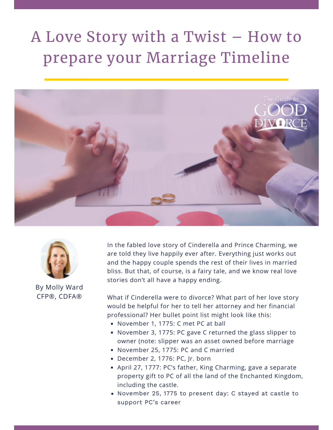## A Love Story with a Twist – How to prepare your Marriage Timeline





By Molly Ward CFP®, CDFA®

In the fabled love story of Cinderella and Prince Charming, we are told they live happily ever after. Everything just works out and the happy couple spends the rest of their lives in married bliss. But that, of course, is a fairy tale, and we know real love stories don't all have a happy ending.

What if Cinderella were to divorce? What part of her love story would be helpful for her to tell her attorney and her financial professional? Her bullet point list might look like this:

- November 1, 1775: C met PC at ball
- November 3, 1775: PC gave C returned the glass slipper to owner (note: slipper was an asset owned before marriage
- November 25, 1775: PC and C married
- December 2, 1776: PC, Jr. born
- April 27, 1777: PC's father, King Charming, gave a separate property gift to PC of all the land of the Enchanted Kingdom, including the castle.
- November 25, 1775 to present day: C stayed at castle to support PC's career